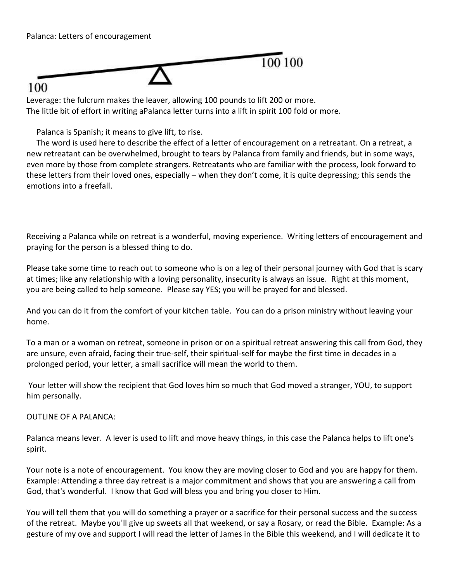

## 100

Leverage: the fulcrum makes the leaver, allowing 100 pounds to lift 200 or more. The little bit of effort in writing aPalanca letter turns into a lift in spirit 100 fold or more.

Palanca is Spanish; it means to give lift, to rise.

 The word is used here to describe the effect of a letter of encouragement on a retreatant. On a retreat, a new retreatant can be overwhelmed, brought to tears by Palanca from family and friends, but in some ways, even more by those from complete strangers. Retreatants who are familiar with the process, look forward to these letters from their loved ones, especially – when they don't come, it is quite depressing; this sends the emotions into a freefall.

Receiving a Palanca while on retreat is a wonderful, moving experience. Writing letters of encouragement and praying for the person is a blessed thing to do.

Please take some time to reach out to someone who is on a leg of their personal journey with God that is scary at times; like any relationship with a loving personality, insecurity is always an issue. Right at this moment, you are being called to help someone. Please say YES; you will be prayed for and blessed.

And you can do it from the comfort of your kitchen table. You can do a prison ministry without leaving your home.

To a man or a woman on retreat, someone in prison or on a spiritual retreat answering this call from God, they are unsure, even afraid, facing their true-self, their spiritual-self for maybe the first time in decades in a prolonged period, your letter, a small sacrifice will mean the world to them.

Your letter will show the recipient that God loves him so much that God moved a stranger, YOU, to support him personally.

OUTLINE OF A PALANCA:

Palanca means lever. A lever is used to lift and move heavy things, in this case the Palanca helps to lift one's spirit.

Your note is a note of encouragement. You know they are moving closer to God and you are happy for them. Example: Attending a three day retreat is a major commitment and shows that you are answering a call from God, that's wonderful. I know that God will bless you and bring you closer to Him.

You will tell them that you will do something a prayer or a sacrifice for their personal success and the success of the retreat. Maybe you'll give up sweets all that weekend, or say a Rosary, or read the Bible. Example: As a gesture of my ove and support I will read the letter of James in the Bible this weekend, and I will dedicate it to